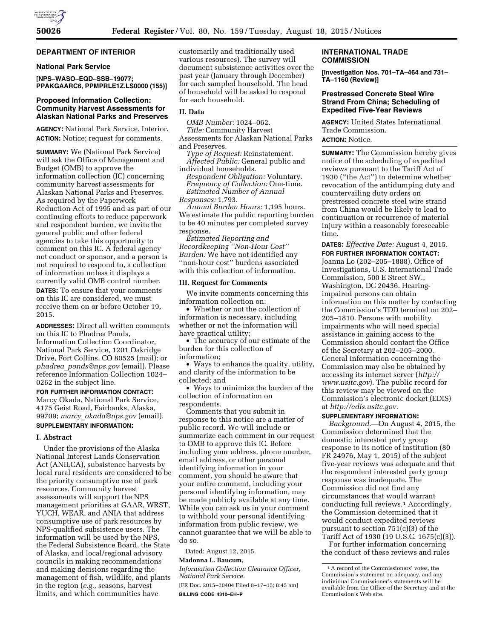# **DEPARTMENT OF INTERIOR**

### **National Park Service**

**[NPS–WASO–EQD–SSB–19077; PPAKGAARC6, PPMPRLE1Z.LS0000 (155)]** 

### **Proposed Information Collection: Community Harvest Assessments for Alaskan National Parks and Preserves**

**AGENCY:** National Park Service, Interior. **ACTION:** Notice; request for comments.

**SUMMARY:** We (National Park Service) will ask the Office of Management and Budget (OMB) to approve the information collection (IC) concerning community harvest assessments for Alaskan National Parks and Preserves. As required by the Paperwork Reduction Act of 1995 and as part of our continuing efforts to reduce paperwork and respondent burden, we invite the general public and other federal agencies to take this opportunity to comment on this IC. A federal agency not conduct or sponsor, and a person is not required to respond to, a collection of information unless it displays a currently valid OMB control number. **DATES:** To ensure that your comments on this IC are considered, we must receive them on or before October 19,

**ADDRESSES:** Direct all written comments on this IC to Phadrea Ponds, Information Collection Coordinator, National Park Service, 1201 Oakridge Drive, Fort Collins, CO 80525 (mail); or *phadrea*\_*[ponds@nps.gov](mailto:phadrea_ponds@nps.gov)* (email). Please reference Information Collection 1024– 0262 in the subject line.

**FOR FURTHER INFORMATION CONTACT:**  Marcy Okada, National Park Service, 4175 Geist Road, Fairbanks, Alaska, 99709; *marcy*\_*[okada@nps.gov](mailto:marcy_okada@nps.gov)* (email).

# **SUPPLEMENTARY INFORMATION:**

# **I. Abstract**

2015.

Under the provisions of the Alaska National Interest Lands Conservation Act (ANILCA), subsistence harvests by local rural residents are considered to be the priority consumptive use of park resources. Community harvest assessments will support the NPS management priorities at GAAR, WRST, YUCH, WEAR, and ANIA that address consumptive use of park resources by NPS-qualified subsistence users. The information will be used by the NPS, the Federal Subsistence Board, the State of Alaska, and local/regional advisory councils in making recommendations and making decisions regarding the management of fish, wildlife, and plants in the region (*e.g.,* seasons, harvest limits, and which communities have

customarily and traditionally used various resources). The survey will document subsistence activities over the past year (January through December) for each sampled household. The head of household will be asked to respond for each household.

### **II. Data**

*OMB Number:* 1024–062. *Title:* Community Harvest

Assessments for Alaskan National Parks and Preserves.

*Type of Request:* Reinstatement. *Affected Public:* General public and

individual households. *Respondent Obligation:* Voluntary. *Frequency of Collection:* One-time. *Estimated Number of Annual Responses:* 1,793.

*Annual Burden Hours:* 1,195 hours. We estimate the public reporting burden to be 40 minutes per completed survey response.

*Estimated Reporting and Recordkeeping ''Non-Hour Cost'' Burden:* We have not identified any ''non-hour cost'' burdens associated with this collection of information.

### **III. Request for Comments**

We invite comments concerning this information collection on:

• Whether or not the collection of information is necessary, including whether or not the information will have practical utility;

• The accuracy of our estimate of the burden for this collection of information;

• Ways to enhance the quality, utility, and clarity of the information to be collected; and

• Ways to minimize the burden of the collection of information on respondents.

Comments that you submit in response to this notice are a matter of public record. We will include or summarize each comment in our request to OMB to approve this IC. Before including your address, phone number, email address, or other personal identifying information in your comment, you should be aware that your entire comment, including your personal identifying information, may be made publicly available at any time. While you can ask us in your comment to withhold your personal identifying information from public review, we cannot guarantee that we will be able to do so.

Dated: August 12, 2015.

# **Madonna L. Baucum,**

*Information Collection Clearance Officer, National Park Service.* 

[FR Doc. 2015–20404 Filed 8–17–15; 8:45 am] **BILLING CODE 4310–EH–P** 

## **INTERNATIONAL TRADE COMMISSION**

**[Investigation Nos. 701–TA–464 and 731– TA–1160 (Review)]** 

# **Prestressed Concrete Steel Wire Strand From China; Scheduling of Expedited Five-Year Reviews**

**AGENCY:** United States International Trade Commission. **ACTION:** Notice.

**SUMMARY:** The Commission hereby gives notice of the scheduling of expedited reviews pursuant to the Tariff Act of 1930 (''the Act'') to determine whether revocation of the antidumping duty and countervailing duty orders on prestressed concrete steel wire strand from China would be likely to lead to continuation or recurrence of material injury within a reasonably foreseeable time.

**DATES:** *Effective Date:* August 4, 2015.

**FOR FURTHER INFORMATION CONTACT:**  Joanna Lo (202–205–1888), Office of Investigations, U.S. International Trade Commission, 500 E Street SW., Washington, DC 20436. Hearingimpaired persons can obtain information on this matter by contacting the Commission's TDD terminal on 202– 205–1810. Persons with mobility impairments who will need special assistance in gaining access to the Commission should contact the Office of the Secretary at 202–205–2000. General information concerning the Commission may also be obtained by accessing its internet server (*[http://](http://www.usitc.gov) [www.usitc.gov](http://www.usitc.gov)*). The public record for this review may be viewed on the Commission's electronic docket (EDIS) at *<http://edis.usitc.gov>*.

## **SUPPLEMENTARY INFORMATION:**

*Background.*—On August 4, 2015, the Commission determined that the domestic interested party group response to its notice of institution (80 FR 24976, May 1, 2015) of the subject five-year reviews was adequate and that the respondent interested party group response was inadequate. The Commission did not find any circumstances that would warrant conducting full reviews.1 Accordingly, the Commission determined that it would conduct expedited reviews pursuant to section 751(c)(3) of the Tariff Act of 1930 (19 U.S.C. 1675(c)(3)).

For further information concerning the conduct of these reviews and rules

<sup>1</sup>A record of the Commissioners' votes, the Commission's statement on adequacy, and any individual Commissioner's statements will be available from the Office of the Secretary and at the Commission's Web site.